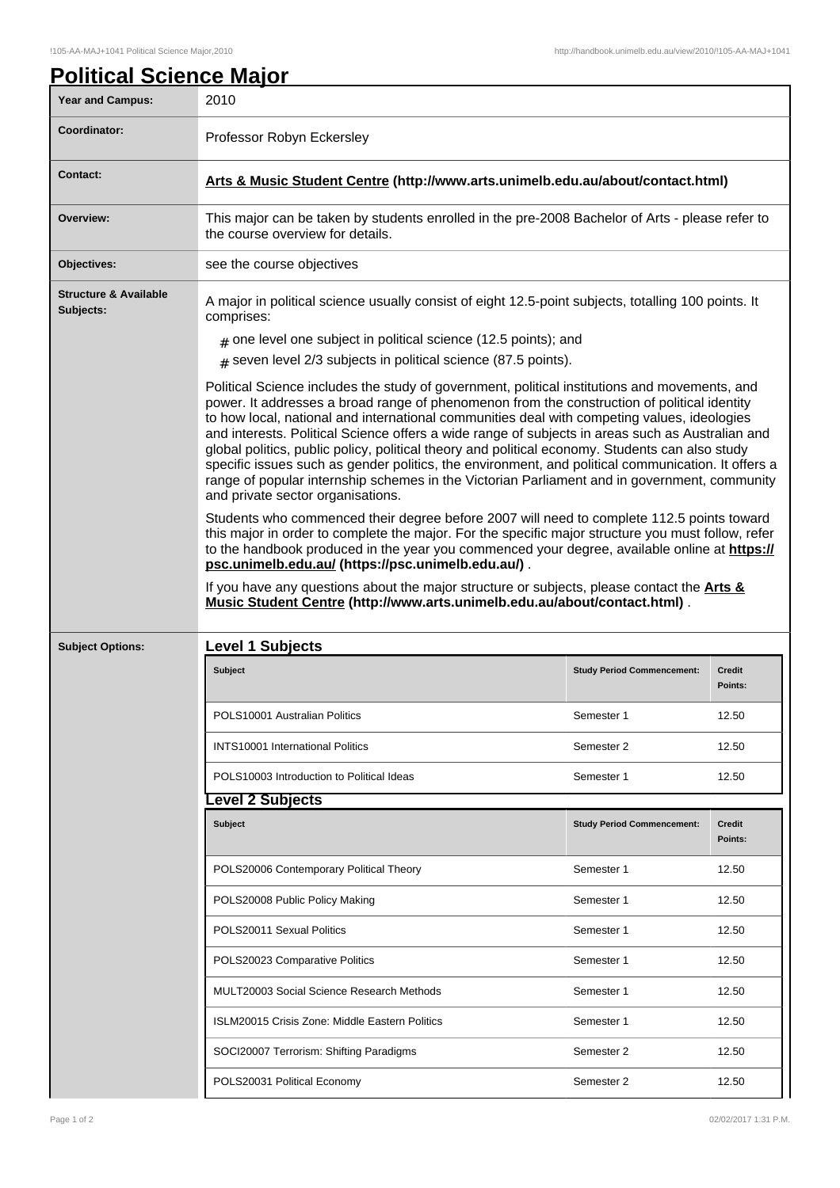| <b>Year and Campus:</b>                       | 2010                                                                                                                                                                                                                                                                                                                                                                                                                                                                                                                                                                                                                                                                                                                                          |                                   |                          |  |
|-----------------------------------------------|-----------------------------------------------------------------------------------------------------------------------------------------------------------------------------------------------------------------------------------------------------------------------------------------------------------------------------------------------------------------------------------------------------------------------------------------------------------------------------------------------------------------------------------------------------------------------------------------------------------------------------------------------------------------------------------------------------------------------------------------------|-----------------------------------|--------------------------|--|
| Coordinator:                                  | Professor Robyn Eckersley                                                                                                                                                                                                                                                                                                                                                                                                                                                                                                                                                                                                                                                                                                                     |                                   |                          |  |
| <b>Contact:</b>                               | Arts & Music Student Centre (http://www.arts.unimelb.edu.au/about/contact.html)                                                                                                                                                                                                                                                                                                                                                                                                                                                                                                                                                                                                                                                               |                                   |                          |  |
| Overview:                                     | This major can be taken by students enrolled in the pre-2008 Bachelor of Arts - please refer to<br>the course overview for details.                                                                                                                                                                                                                                                                                                                                                                                                                                                                                                                                                                                                           |                                   |                          |  |
| Objectives:                                   | see the course objectives                                                                                                                                                                                                                                                                                                                                                                                                                                                                                                                                                                                                                                                                                                                     |                                   |                          |  |
| <b>Structure &amp; Available</b><br>Subjects: | A major in political science usually consist of eight 12.5-point subjects, totalling 100 points. It<br>comprises:                                                                                                                                                                                                                                                                                                                                                                                                                                                                                                                                                                                                                             |                                   |                          |  |
|                                               | $#$ one level one subject in political science (12.5 points); and                                                                                                                                                                                                                                                                                                                                                                                                                                                                                                                                                                                                                                                                             |                                   |                          |  |
|                                               | $*$ seven level 2/3 subjects in political science (87.5 points).                                                                                                                                                                                                                                                                                                                                                                                                                                                                                                                                                                                                                                                                              |                                   |                          |  |
|                                               | Political Science includes the study of government, political institutions and movements, and<br>power. It addresses a broad range of phenomenon from the construction of political identity<br>to how local, national and international communities deal with competing values, ideologies<br>and interests. Political Science offers a wide range of subjects in areas such as Australian and<br>global politics, public policy, political theory and political economy. Students can also study<br>specific issues such as gender politics, the environment, and political communication. It offers a<br>range of popular internship schemes in the Victorian Parliament and in government, community<br>and private sector organisations. |                                   |                          |  |
|                                               | Students who commenced their degree before 2007 will need to complete 112.5 points toward<br>this major in order to complete the major. For the specific major structure you must follow, refer                                                                                                                                                                                                                                                                                                                                                                                                                                                                                                                                               |                                   |                          |  |
|                                               | to the handbook produced in the year you commenced your degree, available online at https://<br>psc.unimelb.edu.au/ (https://psc.unimelb.edu.au/).<br>If you have any questions about the major structure or subjects, please contact the Arts &<br>Music Student Centre (http://www.arts.unimelb.edu.au/about/contact.html).                                                                                                                                                                                                                                                                                                                                                                                                                 |                                   |                          |  |
| <b>Subject Options:</b>                       | <b>Level 1 Subjects</b>                                                                                                                                                                                                                                                                                                                                                                                                                                                                                                                                                                                                                                                                                                                       |                                   |                          |  |
|                                               | Subject                                                                                                                                                                                                                                                                                                                                                                                                                                                                                                                                                                                                                                                                                                                                       | <b>Study Period Commencement:</b> | Credit<br>Points:        |  |
|                                               | POLS10001 Australian Politics                                                                                                                                                                                                                                                                                                                                                                                                                                                                                                                                                                                                                                                                                                                 | Semester 1                        | 12.50                    |  |
|                                               | <b>INTS10001 International Politics</b>                                                                                                                                                                                                                                                                                                                                                                                                                                                                                                                                                                                                                                                                                                       | Semester 2                        | 12.50                    |  |
|                                               | POLS10003 Introduction to Political Ideas                                                                                                                                                                                                                                                                                                                                                                                                                                                                                                                                                                                                                                                                                                     | Semester 1                        | 12.50                    |  |
|                                               | evel 2 Subjects.                                                                                                                                                                                                                                                                                                                                                                                                                                                                                                                                                                                                                                                                                                                              |                                   |                          |  |
|                                               | Subject                                                                                                                                                                                                                                                                                                                                                                                                                                                                                                                                                                                                                                                                                                                                       | <b>Study Period Commencement:</b> | <b>Credit</b><br>Points: |  |
|                                               | POLS20006 Contemporary Political Theory                                                                                                                                                                                                                                                                                                                                                                                                                                                                                                                                                                                                                                                                                                       | Semester 1                        | 12.50                    |  |
|                                               | POLS20008 Public Policy Making                                                                                                                                                                                                                                                                                                                                                                                                                                                                                                                                                                                                                                                                                                                | Semester 1                        | 12.50                    |  |
|                                               | POLS20011 Sexual Politics                                                                                                                                                                                                                                                                                                                                                                                                                                                                                                                                                                                                                                                                                                                     | Semester 1                        | 12.50                    |  |
|                                               | POLS20023 Comparative Politics                                                                                                                                                                                                                                                                                                                                                                                                                                                                                                                                                                                                                                                                                                                | Semester 1                        | 12.50                    |  |
|                                               | <b>MULT20003 Social Science Research Methods</b>                                                                                                                                                                                                                                                                                                                                                                                                                                                                                                                                                                                                                                                                                              | Semester 1                        | 12.50                    |  |
|                                               | ISLM20015 Crisis Zone: Middle Eastern Politics                                                                                                                                                                                                                                                                                                                                                                                                                                                                                                                                                                                                                                                                                                | Semester 1                        | 12.50                    |  |
|                                               | SOCI20007 Terrorism: Shifting Paradigms                                                                                                                                                                                                                                                                                                                                                                                                                                                                                                                                                                                                                                                                                                       | Semester 2                        | 12.50                    |  |